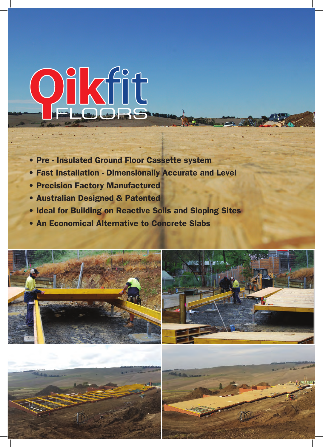# OIKfit

- Pre Insulated Ground Floor Cassette system
- Fast Installation Dimensionally Accurate and Level
- Precision Factory Manufactured
- Australian Designed & Patented
- Ideal for Building on Reactive Soils and Sloping Sites
- An Economical Alternative to Concrete Slabs